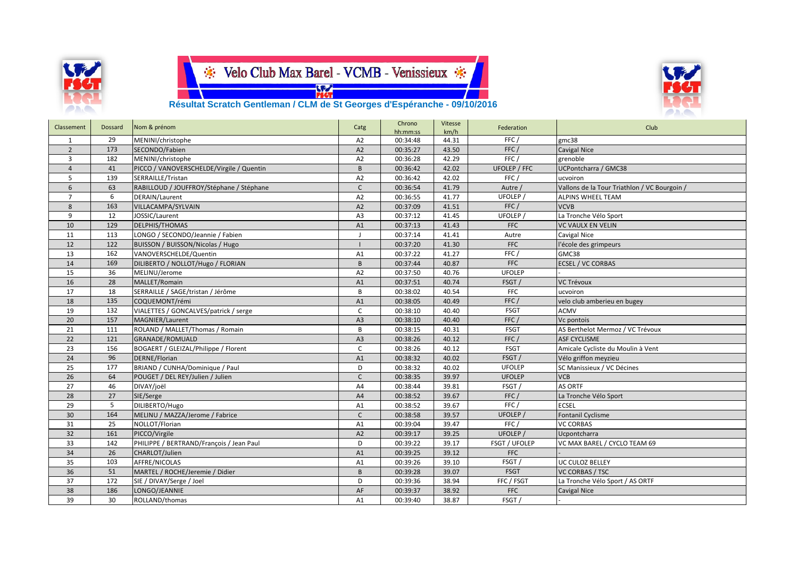





 **Résultat Scratch Gentleman / CLM de St Georges d'Espéranche - 09/10/2016**

| Classement     | Dossard | Nom & prénom                             | Catg           | Chrono<br>hh:mm:ss | Vitesse<br>km/h | Federation    | Club                                         |
|----------------|---------|------------------------------------------|----------------|--------------------|-----------------|---------------|----------------------------------------------|
| 1              | 29      | MENINI/christophe                        | A <sub>2</sub> | 00:34:48           | 44.31           | FFC/          | gmc38                                        |
| $\overline{2}$ | 173     | SECONDO/Fabien                           | A2             | 00:35:27           | 43.50           | FFC/          | Cavigal Nice                                 |
| 3              | 182     | MENINI/christophe                        | A <sub>2</sub> | 00:36:28           | 42.29           | FFC/          | grenoble                                     |
| $\overline{4}$ | 41      | PICCO / VANOVERSCHELDE/Virgile / Quentin | B              | 00:36:42           | 42.02           | UFOLEP / FFC  | UCPontcharra / GMC38                         |
| 5              | 139     | SERRAILLE/Tristan                        | A <sub>2</sub> | 00:36:42           | 42.02           | FFC/          | ucvoiron                                     |
| 6              | 63      | RABILLOUD / JOUFFROY/Stéphane / Stéphane | $\mathsf{C}$   | 00:36:54           | 41.79           | Autre /       | Vallons de la Tour Triathlon / VC Bourgoin / |
| $\overline{7}$ | 6       | DERAIN/Laurent                           | A2             | 00:36:55           | 41.77           | UFOLEP /      | <b>ALPINS WHEEL TEAM</b>                     |
| 8              | 163     | VILLACAMPA/SYLVAIN                       | A2             | 00:37:09           | 41.51           | FFC /         | <b>VCVB</b>                                  |
| 9              | 12      | JOSSIC/Laurent                           | A <sub>3</sub> | 00:37:12           | 41.45           | <b>UFOLEP</b> | La Tronche Vélo Sport                        |
| 10             | 129     | DELPHIS/THOMAS                           | A1             | 00:37:13           | 41.43           | <b>FFC</b>    | <b>VC VAULX EN VELIN</b>                     |
| 11             | 113     | LONGO / SECONDO/Jeannie / Fabien         | $\blacksquare$ | 00:37:14           | 41.41           | Autre         | Cavigal Nice                                 |
| 12             | 122     | BUISSON / BUISSON/Nicolas / Hugo         |                | 00:37:20           | 41.30           | <b>FFC</b>    | l'école des grimpeurs                        |
| 13             | 162     | VANOVERSCHELDE/Quentin                   | A1             | 00:37:22           | 41.27           | FFC/          | GMC38                                        |
| 14             | 169     | DILIBERTO / NOLLOT/Hugo / FLORIAN        | $\overline{B}$ | 00:37:44           | 40.87           | <b>FFC</b>    | <b>ECSEL / VC CORBAS</b>                     |
| 15             | 36      | MELINU/Jerome                            | A <sub>2</sub> | 00:37:50           | 40.76           | <b>UFOLEP</b> |                                              |
| 16             | 28      | MALLET/Romain                            | A1             | 00:37:51           | 40.74           | FSGT/         | <b>VC Trévoux</b>                            |
| 17             | 18      | SERRAILLE / SAGE/tristan / Jérôme        | B              | 00:38:02           | 40.54           | <b>FFC</b>    | ucvoiron                                     |
| 18             | 135     | COQUEMONT/rémi                           | A1             | 00:38:05           | 40.49           | FFC/          | velo club amberieu en bugey                  |
| 19             | 132     | VIALETTES / GONCALVES/patrick / serge    | C              | 00:38:10           | 40.40           | <b>FSGT</b>   | <b>ACMV</b>                                  |
| 20             | 157     | <b>MAGNIER/Laurent</b>                   | A3             | 00:38:10           | 40.40           | FFC/          | Vc pontois                                   |
| 21             | 111     | ROLAND / MALLET/Thomas / Romain          | B              | 00:38:15           | 40.31           | <b>FSGT</b>   | AS Berthelot Mermoz / VC Trévoux             |
| 22             | 121     | <b>GRANADE/ROMUALD</b>                   | A3             | 00:38:26           | 40.12           | FFC /         | <b>ASF CYCLISME</b>                          |
| 23             | 156     | BOGAERT / GLEIZAL/Philippe / Florent     | $\mathsf{C}$   | 00:38:26           | 40.12           | <b>FSGT</b>   | Amicale Cycliste du Moulin à Vent            |
| 24             | 96      | DERNE/Florian                            | A1             | 00:38:32           | 40.02           | FSGT/         | Vélo griffon meyzieu                         |
| 25             | 177     | BRIAND / CUNHA/Dominique / Paul          | D              | 00:38:32           | 40.02           | <b>UFOLEP</b> | SC Manissieux / VC Décines                   |
| 26             | 64      | POUGET / DEL REY/Julien / Julien         | $\mathsf{C}$   | 00:38:35           | 39.97           | <b>UFOLEP</b> | <b>VCB</b>                                   |
| 27             | 46      | DIVAY/joël                               | A4             | 00:38:44           | 39.81           | FSGT/         | <b>AS ORTF</b>                               |
| 28             | 27      | SIE/Serge                                | A4             | 00:38:52           | 39.67           | FFC/          | La Tronche Vélo Sport                        |
| 29             | 5       | DILIBERTO/Hugo                           | A1             | 00:38:52           | 39.67           | FFC /         | <b>ECSEL</b>                                 |
| 30             | 164     | MELINU / MAZZA/Jerome / Fabrice          | $\mathsf{C}$   | 00:38:58           | 39.57           | UFOLEP /      | <b>Fontanil Cyclisme</b>                     |
| 31             | 25      | NOLLOT/Florian                           | A1             | 00:39:04           | 39.47           | FFC/          | <b>VC CORBAS</b>                             |
| 32             | 161     | PICCO/Virgile                            | A2             | 00:39:17           | 39.25           | UFOLEP /      | Ucpontcharra                                 |
| 33             | 142     | PHILIPPE / BERTRAND/François / Jean Paul | D              | 00:39:22           | 39.17           | FSGT / UFOLEP | VC MAX BAREL / CYCLO TEAM 69                 |
| 34             | 26      | CHARLOT/Julien                           | A1             | 00:39:25           | 39.12           | <b>FFC</b>    |                                              |
| 35             | 103     | AFFRE/NICOLAS                            | A1             | 00:39:26           | 39.10           | FSGT/         | UC CULOZ BELLEY                              |
| 36             | 51      | MARTEL / ROCHE/Jeremie / Didier          | B              | 00:39:28           | 39.07           | FSGT          | <b>VC CORBAS / TSC</b>                       |
| 37             | 172     | SIE / DIVAY/Serge / Joel                 | D              | 00:39:36           | 38.94           | FFC / FSGT    | La Tronche Vélo Sport / AS ORTF              |
| 38             | 186     | LONGO/JEANNIE                            | AF             | 00:39:37           | 38.92           | <b>FFC</b>    | <b>Cavigal Nice</b>                          |
| 39             | 30      | ROLLAND/thomas                           | A1             | 00:39:40           | 38.87           | FSGT/         |                                              |
|                |         |                                          |                |                    |                 |               |                                              |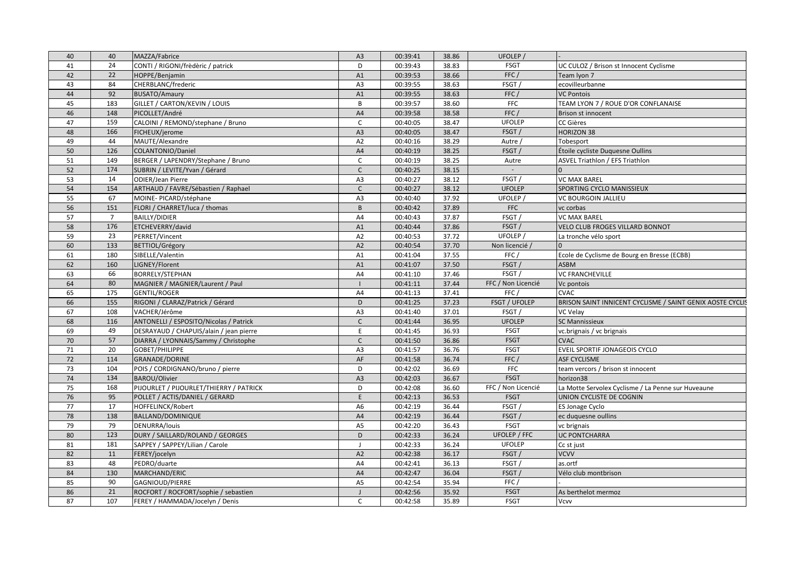| 40 | 40             | MAZZA/Fabrice                           | A <sub>3</sub> | 00:39:41 | 38.86 | UFOLEP /            |                                                           |
|----|----------------|-----------------------------------------|----------------|----------|-------|---------------------|-----------------------------------------------------------|
| 41 | 24             | CONTI / RIGONI/frèdèric / patrick       | D              | 00:39:43 | 38.83 | <b>FSGT</b>         | UC CULOZ / Brison st Innocent Cyclisme                    |
| 42 | 22             | HOPPE/Benjamin                          | A1             | 00:39:53 | 38.66 | FFC/                | Team lyon 7                                               |
| 43 | 84             | CHERBLANC/frederic                      | A <sub>3</sub> | 00:39:55 | 38.63 | FSGT/               | ecovilleurbanne                                           |
| 44 | 92             | <b>BUSATO/Amaury</b>                    | A1             | 00:39:55 | 38.63 | FFC/                | <b>VC Pontois</b>                                         |
| 45 | 183            | GILLET / CARTON/KEVIN / LOUIS           | $\mathsf{B}$   | 00:39:57 | 38.60 | <b>FFC</b>          | TEAM LYON 7 / ROUE D'OR CONFLANAISE                       |
| 46 | 148            | PICOLLET/André                          | A4             | 00:39:58 | 38.58 | FFC/                | Brison st innocent                                        |
| 47 | 159            | CALOINI / REMOND/stephane / Bruno       | $\mathsf{C}$   | 00:40:05 | 38.47 | <b>UFOLEP</b>       | CC Gières                                                 |
| 48 | 166            | FICHEUX/jerome                          | A3             | 00:40:05 | 38.47 | FSGT/               | <b>HORIZON 38</b>                                         |
| 49 | 44             | MAUTE/Alexandre                         | A2             | 00:40:16 | 38.29 | Autre /             | Tobesport                                                 |
| 50 | 126            | COLANTONIO/Daniel                       | A4             | 00:40:19 | 38.25 | FSGT/               | Étoile cycliste Duquesne Oullins                          |
| 51 | 149            | BERGER / LAPENDRY/Stephane / Bruno      | C              | 00:40:19 | 38.25 | Autre               | ASVEL Triathlon / EFS Triathlon                           |
| 52 | 174            | SUBRIN / LEVITE/Yvan / Gérard           | $\mathsf{C}$   | 00:40:25 | 38.15 | $\sim$              |                                                           |
| 53 | 14             | <b>ODIER/Jean Pierre</b>                | A3             | 00:40:27 | 38.12 | FSGT/               | <b>VC MAX BAREL</b>                                       |
| 54 | 154            | ARTHAUD / FAVRE/Sébastien / Raphael     | $\mathsf{C}$   | 00:40:27 | 38.12 | <b>UFOLEP</b>       | SPORTING CYCLO MANISSIEUX                                 |
| 55 | 67             | MOINE- PICARD/stéphane                  | A <sub>3</sub> | 00:40:40 | 37.92 | UFOLEP /            | <b>VC BOURGOIN JALLIEU</b>                                |
| 56 | 151            | FLORI / CHARRET/luca / thomas           | B              | 00:40:42 | 37.89 | <b>FFC</b>          | vc corbas                                                 |
| 57 | $\overline{7}$ | <b>BAILLY/DIDIER</b>                    | A4             | 00:40:43 | 37.87 | FSGT/               | <b>VC MAX BAREL</b>                                       |
| 58 | 176            | ETCHEVERRY/david                        | A1             | 00:40:44 | 37.86 | FSGT/               | VELO CLUB FROGES VILLARD BONNOT                           |
| 59 | 23             | PERRET/Vincent                          | A <sub>2</sub> | 00:40:53 | 37.72 | UFOLEP /            | La tronche vélo sport                                     |
| 60 | 133            | BETTIOL/Grégory                         | A2             | 00:40:54 | 37.70 | Non licencié /      |                                                           |
| 61 | 180            | SIBELLE/Valentin                        | A1             | 00:41:04 | 37.55 | FFC/                | Ecole de Cyclisme de Bourg en Bresse (ECBB)               |
| 62 | 160            | LIGNEY/Florent                          | A <sub>1</sub> | 00:41:07 | 37.50 | FSGT/               | <b>ASBM</b>                                               |
| 63 | 66             | <b>BORRELY/STEPHAN</b>                  | A4             | 00:41:10 | 37.46 | FSGT/               | <b>VC FRANCHEVILLE</b>                                    |
| 64 | 80             | MAGNIER / MAGNIER/Laurent / Paul        |                | 00:41:11 | 37.44 | FFC / Non Licencié  | Vc pontois                                                |
| 65 | 175            | <b>GENTIL/ROGER</b>                     | A4             | 00:41:13 | 37.41 | FFC/                | <b>CVAC</b>                                               |
| 66 | 155            | RIGONI / CLARAZ/Patrick / Gérard        | D              | 00:41:25 | 37.23 | FSGT / UFOLEP       | BRISON SAINT INNICENT CYCLISME / SAINT GENIX AOSTE CYCLIS |
| 67 | 108            | VACHER/Jérôme                           | A <sub>3</sub> | 00:41:40 | 37.01 | FSGT/               | <b>VC Velav</b>                                           |
| 68 | 116            | ANTONELLI / ESPOSITO/Nicolas / Patrick  | $\mathsf{C}$   | 00:41:44 | 36.95 | <b>UFOLEP</b>       | <b>SC Mannissieux</b>                                     |
| 69 | 49             | DESRAYAUD / CHAPUIS/alain / jean pierre | E              | 00:41:45 | 36.93 | <b>FSGT</b>         | vc.brignais / vc brignais                                 |
| 70 | 57             | DIARRA / LYONNAIS/Sammy / Christophe    | $\mathsf{C}$   | 00:41:50 | 36.86 | <b>FSGT</b>         | <b>CVAC</b>                                               |
| 71 | 20             | GOBET/PHILIPPE                          | A <sub>3</sub> | 00:41:57 | 36.76 | <b>FSGT</b>         | EVEIL SPORTIF JONAGEOIS CYCLO                             |
| 72 | 114            | <b>GRANADE/DORINE</b>                   | AF             | 00:41:58 | 36.74 | FFC /               | <b>ASF CYCLISME</b>                                       |
| 73 | 104            | POIS / CORDIGNANO/bruno / pierre        | D              | 00:42:02 | 36.69 | <b>FFC</b>          | team vercors / brison st innocent                         |
| 74 | 134            | BAROU/Olivier                           | A <sub>3</sub> | 00:42:03 | 36.67 | <b>FSGT</b>         | horizon38                                                 |
| 75 | 168            | PIJOURLET / PIJOURLET/THIERRY / PATRICK | D              | 00:42:08 | 36.60 | FFC / Non Licencié  | La Motte Servolex Cyclisme / La Penne sur Huveaune        |
| 76 | 95             | POLLET / ACTIS/DANIEL / GERARD          | E              | 00:42:13 | 36.53 | <b>FSGT</b>         | UNION CYCLISTE DE COGNIN                                  |
| 77 | 17             | HOFFELINCK/Robert                       | A <sub>6</sub> | 00:42:19 | 36.44 | FSGT/               | ES Jonage Cyclo                                           |
| 78 | 138            | BALLAND/DOMINIQUE                       | A4             | 00:42:19 | 36.44 | FSGT/               | ec duquesne oullins                                       |
| 79 | 79             | DENURRA/louis                           | A <sub>5</sub> | 00:42:20 | 36.43 | <b>FSGT</b>         | vc brignais                                               |
| 80 | 123            | DURY / SAILLARD/ROLAND / GEORGES        | D              | 00:42:33 | 36.24 | <b>UFOLEP / FFC</b> | UC PONTCHARRA                                             |
| 81 | 181            | SAPPEY / SAPPEY/Lilian / Carole         | $\mathbf{J}$   | 00:42:33 | 36.24 | <b>UFOLEP</b>       | Cc st just                                                |
| 82 | 11             | FEREY/jocelyn                           | A2             | 00:42:38 | 36.17 | FSGT/               | <b>VCVV</b>                                               |
| 83 | 48             | PEDRO/duarte                            | A <sub>4</sub> | 00:42:41 | 36.13 | FSGT/               | as.ortf                                                   |
| 84 | 130            | MARCHAND/ERIC                           | A4             | 00:42:47 | 36.04 | FSGT/               | Vélo club montbrison                                      |
| 85 | 90             | GAGNIOUD/PIERRE                         | A <sub>5</sub> | 00:42:54 | 35.94 | FFC/                |                                                           |
| 86 | 21             | ROCFORT / ROCFORT/sophie / sebastien    | $\overline{1}$ | 00:42:56 | 35.92 | <b>FSGT</b>         | As berthelot mermoz                                       |
| 87 | 107            | FEREY / HAMMADA/Jocelyn / Denis         | $\mathsf{C}$   | 00:42:58 | 35.89 | <b>FSGT</b>         | Vcvv                                                      |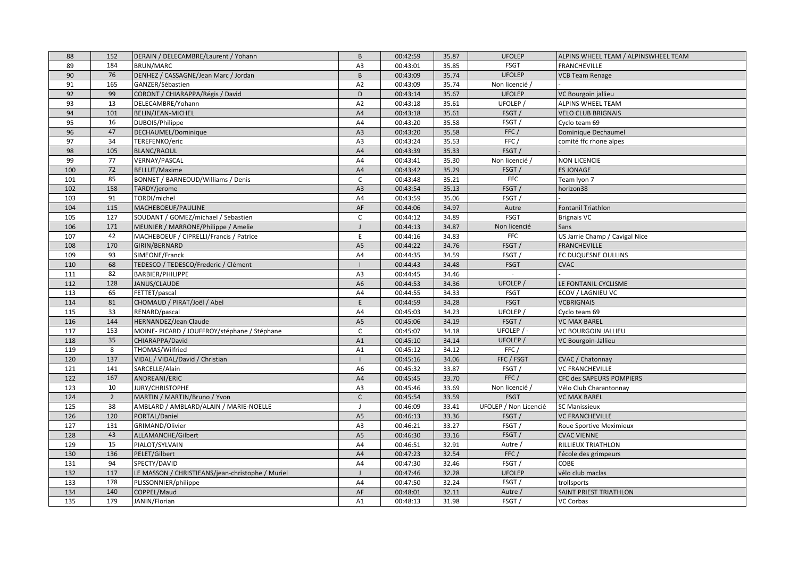| 88  | 152            | DERAIN / DELECAMBRE/Laurent / Yohann             | B              | 00:42:59 | 35.87 | <b>UFOLEP</b>         | ALPINS WHEEL TEAM / ALPINSWHEEL TEAM |
|-----|----------------|--------------------------------------------------|----------------|----------|-------|-----------------------|--------------------------------------|
| 89  | 184            | BRUN/MARC                                        | A <sub>3</sub> | 00:43:01 | 35.85 | <b>FSGT</b>           | <b>FRANCHEVILLE</b>                  |
| 90  | 76             | DENHEZ / CASSAGNE/Jean Marc / Jordan             | B              | 00:43:09 | 35.74 | <b>UFOLEP</b>         | <b>VCB Team Renage</b>               |
| 91  | 165            | GANZER/Sébastien                                 | A <sub>2</sub> | 00:43:09 | 35.74 | Non licencié /        |                                      |
| 92  | 99             | CORONT / CHIARAPPA/Régis / David                 | D              | 00:43:14 | 35.67 | <b>UFOLEP</b>         | VC Bourgoin jallieu                  |
| 93  | 13             | DELECAMBRE/Yohann                                | A <sub>2</sub> | 00:43:18 | 35.61 | UFOLEP /              | ALPINS WHEEL TEAM                    |
| 94  | 101            | BELIN/JEAN-MICHEL                                | A4             | 00:43:18 | 35.61 | FSGT/                 | <b>VELO CLUB BRIGNAIS</b>            |
| 95  | 16             | DUBOIS/Philippe                                  | A4             | 00:43:20 | 35.58 | FSGT/                 | Cyclo team 69                        |
| 96  | 47             | DECHAUMEL/Dominique                              | A <sub>3</sub> | 00:43:20 | 35.58 | FFC/                  | Dominique Dechaumel                  |
| 97  | 34             | TEREFENKO/eric                                   | A3             | 00:43:24 | 35.53 | FFC/                  | comité ffc rhone alpes               |
| 98  | 105            | <b>BLANC/RAOUL</b>                               | A4             | 00:43:39 | 35.33 | FSGT/                 |                                      |
| 99  | 77             | VERNAY/PASCAL                                    | A4             | 00:43:41 | 35.30 | Non licencié /        | NON LICENCIE                         |
| 100 | 72             | BELLUT/Maxime                                    | A4             | 00:43:42 | 35.29 | FSGT/                 | <b>ES JONAGE</b>                     |
| 101 | 85             | BONNET / BARNEOUD/Williams / Denis               | $\mathsf{C}$   | 00:43:48 | 35.21 | <b>FFC</b>            | Team Iyon 7                          |
| 102 | 158            | TARDY/jerome                                     | A <sub>3</sub> | 00:43:54 | 35.13 | FSGT/                 | horizon38                            |
| 103 | 91             | TORDI/michel                                     | A4             | 00:43:59 | 35.06 | FSGT/                 |                                      |
| 104 | 115            | MACHEBOEUF/PAULINE                               | AF             | 00:44:06 | 34.97 | Autre                 | Fontanil Triathlon                   |
| 105 | 127            | SOUDANT / GOMEZ/michael / Sebastien              | $\mathsf{C}$   | 00:44:12 | 34.89 | <b>FSGT</b>           | <b>Brignais VC</b>                   |
| 106 | 171            | MEUNIER / MARRONE/Philippe / Amelie              | $\mathbf{I}$   | 00:44:13 | 34.87 | Non licencié          | Sans                                 |
| 107 | 42             | MACHEBOEUF / CIPRELLI/Francis / Patrice          | E              | 00:44:16 | 34.83 | <b>FFC</b>            | US Jarrie Champ / Cavigal Nice       |
| 108 | 170            | GIRIN/BERNARD                                    | A <sub>5</sub> | 00:44:22 | 34.76 | FSGT/                 | <b>FRANCHEVILLE</b>                  |
| 109 | 93             | SIMEONE/Franck                                   | A4             | 00:44:35 | 34.59 | FSGT/                 | EC DUQUESNE OULLINS                  |
| 110 | 68             | TEDESCO / TEDESCO/Frederic / Clément             | $\mathbf{I}$   | 00:44:43 | 34.48 | <b>FSGT</b>           | <b>CVAC</b>                          |
| 111 | 82             | BARBIER/PHILIPPE                                 | A3             | 00:44:45 | 34.46 | $\sim$                |                                      |
| 112 | 128            | JANUS/CLAUDE                                     | A <sub>6</sub> | 00:44:53 | 34.36 | UFOLEP /              | LE FONTANIL CYCLISME                 |
| 113 | 65             | FETTET/pascal                                    | A4             | 00:44:55 | 34.33 | <b>FSGT</b>           | ECOV / LAGNIEU VC                    |
| 114 | 81             | CHOMAUD / PIRAT/Joël / Abel                      | E              | 00:44:59 | 34.28 | <b>FSGT</b>           | <b>VCBRIGNAIS</b>                    |
| 115 | 33             | RENARD/pascal                                    | A4             | 00:45:03 | 34.23 | UFOLEP <sub>/</sub>   | Cyclo team 69                        |
| 116 | 144            | HERNANDEZ/Jean Claude                            | A <sub>5</sub> | 00:45:06 | 34.19 | FSGT/                 | <b>VC MAX BAREL</b>                  |
| 117 | 153            | MOINE-PICARD / JOUFFROY/stéphane / Stéphane      | $\mathsf C$    | 00:45:07 | 34.18 | UFOLEP / -            | VC BOURGOIN JALLIEU                  |
| 118 | 35             | CHIARAPPA/David                                  | A1             | 00:45:10 | 34.14 | UFOLEP /              | VC Bourgoin-Jallieu                  |
| 119 | 8              | THOMAS/Wilfried                                  | A1             | 00:45:12 | 34.12 | FFC/                  |                                      |
| 120 | 137            | VIDAL / VIDAL/David / Christian                  | $\blacksquare$ | 00:45:16 | 34.06 | FFC / FSGT            | <b>CVAC</b> / Chatonnay              |
| 121 | 141            | SARCELLE/Alain                                   | A <sub>6</sub> | 00:45:32 | 33.87 | FSGT/                 | <b>VC FRANCHEVILLE</b>               |
| 122 | 167            | ANDREANI/ERIC                                    | A4             | 00:45:45 | 33.70 | FFC/                  | CFC des SAPEURS POMPIERS             |
| 123 | 10             | <b>JURY/CHRISTOPHE</b>                           | A <sub>3</sub> | 00:45:46 | 33.69 | Non licencié /        | Vélo Club Charantonnay               |
| 124 | $\overline{2}$ | MARTIN / MARTIN/Bruno / Yvon                     | $\mathsf{C}$   | 00:45:54 | 33.59 | <b>FSGT</b>           | <b>VC MAX BAREL</b>                  |
| 125 | 38             | AMBLARD / AMBLARD/ALAIN / MARIE-NOELLE           | $\overline{1}$ | 00:46:09 | 33.41 | UFOLEP / Non Licencié | <b>SC Manissieux</b>                 |
| 126 | 120            | PORTAL/Daniel                                    | A <sub>5</sub> | 00:46:13 | 33.36 | FSGT/                 | VC FRANCHEVILLE                      |
| 127 | 131            | GRIMAND/Olivier                                  | A <sub>3</sub> | 00:46:21 | 33.27 | FSGT/                 | Roue Sportive Meximieux              |
| 128 | 43             | ALLAMANCHE/Gilbert                               | A <sub>5</sub> | 00:46:30 | 33.16 | FSGT/                 | <b>CVAC VIENNE</b>                   |
| 129 | 15             | PIALOT/SYLVAIN                                   | A4             | 00:46:51 | 32.91 | Autre /               | RILLIEUX TRIATHLON                   |
| 130 | 136            | PELET/Gilbert                                    | A4             | 00:47:23 | 32.54 | FFC/                  | l'école des grimpeurs                |
| 131 | 94             | SPECTY/DAVID                                     | A4             | 00:47:30 | 32.46 | FSGT/                 | COBE                                 |
| 132 | 117            | LE MASSON / CHRISTIEANS/jean-christophe / Muriel | $\blacksquare$ | 00:47:46 | 32.28 | <b>UFOLEP</b>         | vélo club maclas                     |
| 133 | 178            | PLISSONNIER/philippe                             | A4             | 00:47:50 | 32.24 | FSGT/                 | trollsports                          |
| 134 | 140            | COPPEL/Maud                                      | AF             | 00:48:01 | 32.11 | Autre /               | SAINT PRIEST TRIATHLON               |
| 135 | 179            | JANIN/Florian                                    | A1             | 00:48:13 | 31.98 | FSGT/                 | VC Corbas                            |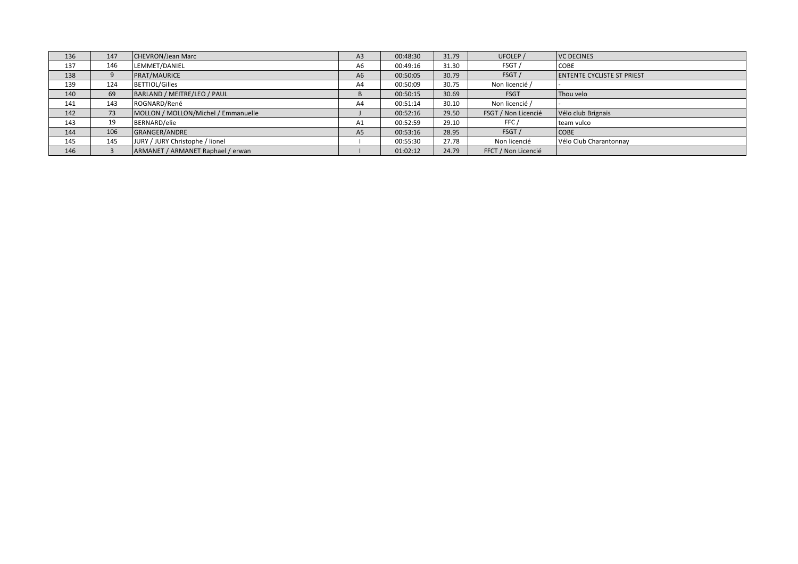| 136 | 147 | <b>CHEVRON/Jean Marc</b>            | A <sub>3</sub> | 00:48:30 | 31.79 | UFOLEP /            | <b>VC DECINES</b>                 |
|-----|-----|-------------------------------------|----------------|----------|-------|---------------------|-----------------------------------|
| 137 | 146 | LEMMET/DANIEL                       | A6             | 00:49:16 | 31.30 | FSGT/               | <b>COBE</b>                       |
| 138 |     | PRAT/MAURICE                        | A <sub>6</sub> | 00:50:05 | 30.79 | FSGT/               | <b>ENTENTE CYCLISTE ST PRIEST</b> |
| 139 | 124 | <b>BETTIOL/Gilles</b>               | A4             | 00:50:09 | 30.75 | Non licencié /      |                                   |
| 140 | 69  | BARLAND / MEITRE/LEO / PAUL         |                | 00:50:15 | 30.69 | <b>FSGT</b>         | Thou velo                         |
| 141 | 143 | ROGNARD/René                        | A4             | 00:51:14 | 30.10 | Non licencié /      |                                   |
| 142 | 73  | MOLLON / MOLLON/Michel / Emmanuelle |                | 00:52:16 | 29.50 | FSGT / Non Licencié | Vélo club Brignais                |
| 143 | 19  | BERNARD/elie                        | A <sub>1</sub> | 00:52:59 | 29.10 | FFC /               | team vulco                        |
| 144 | 106 | GRANGER/ANDRE                       | A <sub>5</sub> | 00:53:16 | 28.95 | FSGT/               | <b>COBE</b>                       |
| 145 | 145 | JURY / JURY Christophe / lionel     |                | 00:55:30 | 27.78 | Non licencié        | Vélo Club Charantonnay            |
| 146 |     | ARMANET / ARMANET Raphael / erwan   |                | 01:02:12 | 24.79 | FFCT / Non Licencié |                                   |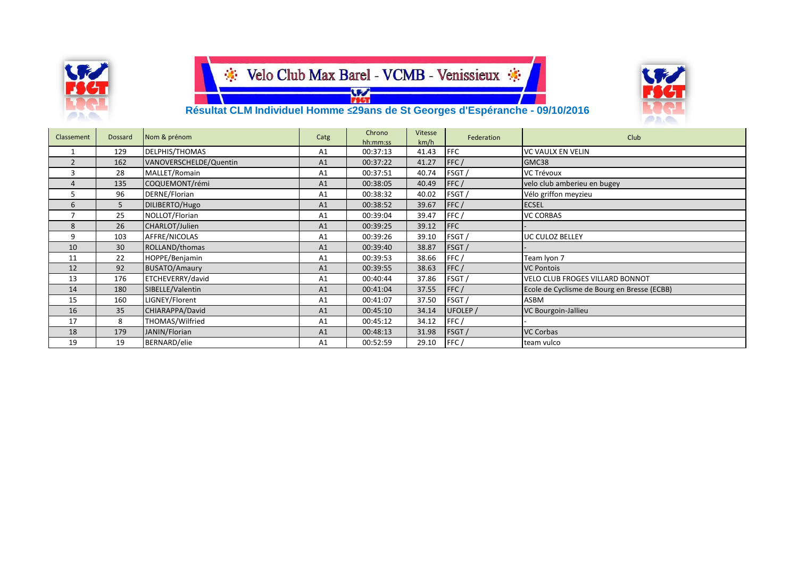



 **Résultat CLM Individuel Homme ≤29ans de St Georges d'Espéranche - 09/10/2016**

| Classement     | <b>Dossard</b>  | Nom & prénom           | Catg           | Chrono<br>hh:mm:ss | <b>Vitesse</b><br>km/h | Federation | Club                                        |
|----------------|-----------------|------------------------|----------------|--------------------|------------------------|------------|---------------------------------------------|
|                | 129             | DELPHIS/THOMAS         | A1             | 00:37:13           | 41.43                  | <b>FFC</b> | <b>VC VAULX EN VELIN</b>                    |
| $\overline{2}$ | 162             | VANOVERSCHELDE/Quentin | A1             | 00:37:22           | 41.27                  | FFC/       | GMC38                                       |
| 3              | 28              | MALLET/Romain          | A <sub>1</sub> | 00:37:51           | 40.74                  | FSGT/      | <b>VC Trévoux</b>                           |
| 4              | 135             | COQUEMONT/rémi         | A1             | 00:38:05           | 40.49                  | FFC/       | velo club amberieu en bugey                 |
| 5              | 96              | DERNE/Florian          | A1             | 00:38:32           | 40.02                  | FSGT/      | Vélo griffon meyzieu                        |
| 6              | 5               | DILIBERTO/Hugo         | A <sub>1</sub> | 00:38:52           | 39.67                  | FFC/       | <b>ECSEL</b>                                |
| $\overline{ }$ | 25              | NOLLOT/Florian         | A1             | 00:39:04           | 39.47                  | FFC/       | <b>VC CORBAS</b>                            |
| 8              | 26              | CHARLOT/Julien         | A <sub>1</sub> | 00:39:25           | 39.12                  | <b>FFC</b> |                                             |
| 9              | 103             | AFFRE/NICOLAS          | A <sub>1</sub> | 00:39:26           | 39.10                  | FSGT/      | UC CULOZ BELLEY                             |
| 10             | 30 <sup>°</sup> | ROLLAND/thomas         | A <sub>1</sub> | 00:39:40           | 38.87                  | FSGT/      |                                             |
| 11             | 22              | HOPPE/Benjamin         | A1             | 00:39:53           | 38.66                  | FFC/       | Team lyon 7                                 |
| 12             | 92              | <b>BUSATO/Amaury</b>   | A1             | 00:39:55           | 38.63                  | FFC/       | <b>VC Pontois</b>                           |
| 13             | 176             | ETCHEVERRY/david       | A1             | 00:40:44           | 37.86                  | FSGT/      | <b>VELO CLUB FROGES VILLARD BONNOT</b>      |
| 14             | 180             | SIBELLE/Valentin       | A <sub>1</sub> | 00:41:04           | 37.55                  | FFC/       | Ecole de Cyclisme de Bourg en Bresse (ECBB) |
| 15             | 160             | LIGNEY/Florent         | A <sub>1</sub> | 00:41:07           | 37.50                  | FSGT/      | <b>ASBM</b>                                 |
| 16             | 35              | CHIARAPPA/David        | A <sub>1</sub> | 00:45:10           | 34.14                  | UFOLEP /   | VC Bourgoin-Jallieu                         |
| 17             | 8               | THOMAS/Wilfried        | A1             | 00:45:12           | 34.12                  | FFC/       |                                             |
| 18             | 179             | JANIN/Florian          | A <sub>1</sub> | 00:48:13           | 31.98                  | FSGT/      | <b>VC Corbas</b>                            |
| 19             | 19              | BERNARD/elie           | A <sub>1</sub> | 00:52:59           | 29.10                  | FFC/       | team vulco                                  |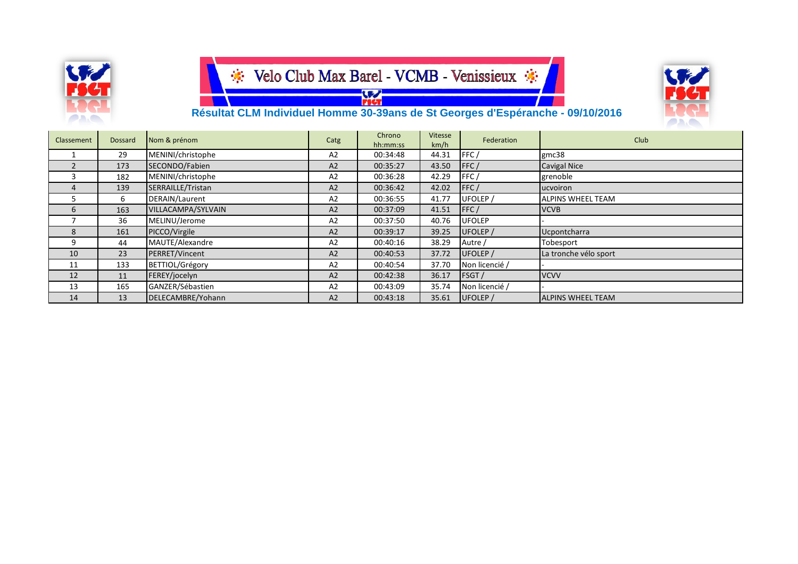

**W** 



#### **Résultat CLM Individuel Homme 30-39ans de St Georges d'Espéranche - 09/10/2016**

| Classement | Dossard | Nom & prénom       | Catg           | Chrono<br>hh:mm:ss | Vitesse<br>km/h | Federation     | Club                     |
|------------|---------|--------------------|----------------|--------------------|-----------------|----------------|--------------------------|
|            | 29      | MENINI/christophe  | A2             | 00:34:48           | 44.31           | FFC/           | gmc38                    |
|            | 173     | SECONDO/Fabien     | A2             | 00:35:27           | 43.50           | FFC/           | <b>Cavigal Nice</b>      |
| 3          | 182     | MENINI/christophe  | A2             | 00:36:28           | 42.29           | FFC/           | grenoble                 |
| 4          | 139     | SERRAILLE/Tristan  | A2             | 00:36:42           | 42.02           | FFC/           | lucvoiron                |
| b.         | 6       | DERAIN/Laurent     | A2             | 00:36:55           | 41.77           | UFOLEP /       | <b>ALPINS WHEEL TEAM</b> |
| 6          | 163     | VILLACAMPA/SYLVAIN | A <sub>2</sub> | 00:37:09           | 41.51           | FFC/           | <b>VCVB</b>              |
|            | 36      | MELINU/Jerome      | A2             | 00:37:50           | 40.76           | <b>UFOLEP</b>  |                          |
| 8          | 161     | PICCO/Virgile      | A2             | 00:39:17           | 39.25           | UFOLEP /       | Ucpontcharra             |
| 9          | 44      | MAUTE/Alexandre    | A2             | 00:40:16           | 38.29           | Autre /        | Tobesport                |
| 10         | 23      | PERRET/Vincent     | A <sub>2</sub> | 00:40:53           | 37.72           | UFOLEP /       | La tronche vélo sport    |
| 11         | 133     | BETTIOL/Grégory    | A2             | 00:40:54           | 37.70           | Non licencié / |                          |
| 12         | 11      | FEREY/jocelyn      | A2             | 00:42:38           | 36.17           | FSGT /         | <b>VCVV</b>              |
| 13         | 165     | GANZER/Sébastien   | A <sub>2</sub> | 00:43:09           | 35.74           | Non licencié / |                          |
| 14         | 13      | DELECAMBRE/Yohann  | A <sub>2</sub> | 00:43:18           | 35.61           | UFOLEP /       | <b>ALPINS WHEEL TEAM</b> |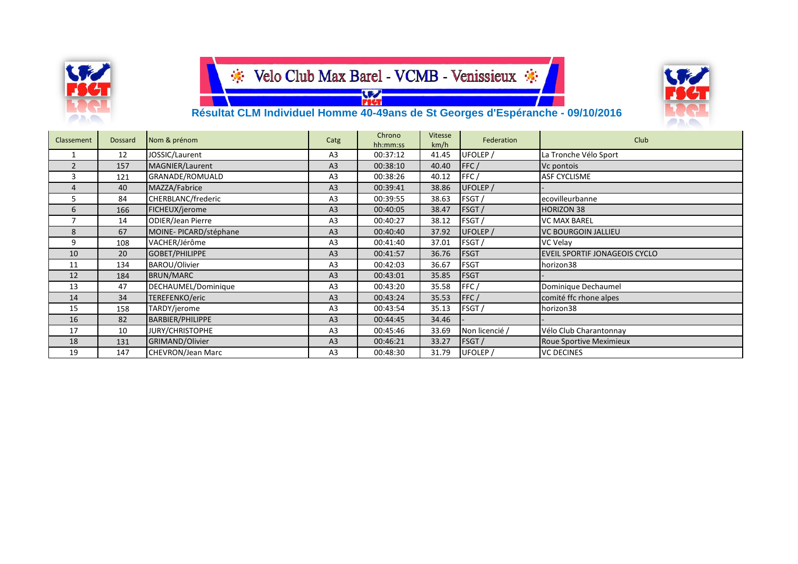

**SEA** 



#### **Résultat CLM Individuel Homme 40-49ans de St Georges d'Espéranche - 09/10/2016**

| Classement     | Dossard | Nom & prénom             | Catg           | Chrono<br>hh:mm:ss | Vitesse<br>km/h | Federation     | Club                           |
|----------------|---------|--------------------------|----------------|--------------------|-----------------|----------------|--------------------------------|
|                | 12      | JOSSIC/Laurent           | A3             | 00:37:12           | 41.45           | UFOLEP /       | La Tronche Vélo Sport          |
| 2              | 157     | MAGNIER/Laurent          | A <sub>3</sub> | 00:38:10           | 40.40           | FFC/           | Vc pontois                     |
| 3              | 121     | GRANADE/ROMUALD          | A <sub>3</sub> | 00:38:26           | 40.12           | FFC/           | <b>ASF CYCLISME</b>            |
| $\overline{4}$ | 40      | MAZZA/Fabrice            | A <sub>3</sub> | 00:39:41           | 38.86           | UFOLEP /       |                                |
| 5              | 84      | CHERBLANC/frederic       | A <sub>3</sub> | 00:39:55           | 38.63           | FSGT/          | ecovilleurbanne                |
| 6              | 166     | FICHEUX/jerome           | A <sub>3</sub> | 00:40:05           | 38.47           | FSGT/          | <b>HORIZON 38</b>              |
|                | 14      | <b>ODIER/Jean Pierre</b> | A <sub>3</sub> | 00:40:27           | 38.12           | FSGT/          | <b>VC MAX BAREL</b>            |
| 8              | 67      | MOINE-PICARD/stéphane    | A <sub>3</sub> | 00:40:40           | 37.92           | UFOLEP /       | <b>VC BOURGOIN JALLIEU</b>     |
| 9              | 108     | VACHER/Jérôme            | A <sub>3</sub> | 00:41:40           | 37.01           | FSGT/          | VC Velay                       |
| 10             | 20      | GOBET/PHILIPPE           | A <sub>3</sub> | 00:41:57           | 36.76           | <b>FSGT</b>    | EVEIL SPORTIF JONAGEOIS CYCLO  |
| 11             | 134     | BAROU/Olivier            | A <sub>3</sub> | 00:42:03           | 36.67           | <b>FSGT</b>    | horizon38                      |
| 12             | 184     | BRUN/MARC                | A <sub>3</sub> | 00:43:01           | 35.85           | <b>FSGT</b>    |                                |
| 13             | 47      | DECHAUMEL/Dominique      | A3             | 00:43:20           | 35.58           | FFC/           | Dominique Dechaumel            |
| 14             | 34      | TEREFENKO/eric           | A <sub>3</sub> | 00:43:24           | 35.53           | FFC/           | comité ffc rhone alpes         |
| 15             | 158     | TARDY/jerome             | A <sub>3</sub> | 00:43:54           | 35.13           | FSGT/          | horizon38                      |
| 16             | 82      | BARBIER/PHILIPPE         | A <sub>3</sub> | 00:44:45           | 34.46           |                |                                |
| 17             | 10      | JURY/CHRISTOPHE          | A <sub>3</sub> | 00:45:46           | 33.69           | Non licencié / | Vélo Club Charantonnay         |
| 18             | 131     | GRIMAND/Olivier          | A <sub>3</sub> | 00:46:21           | 33.27           | FSGT/          | <b>Roue Sportive Meximieux</b> |
| 19             | 147     | <b>CHEVRON/Jean Marc</b> | A3             | 00:48:30           | 31.79           | UFOLEP /       | <b>VC DECINES</b>              |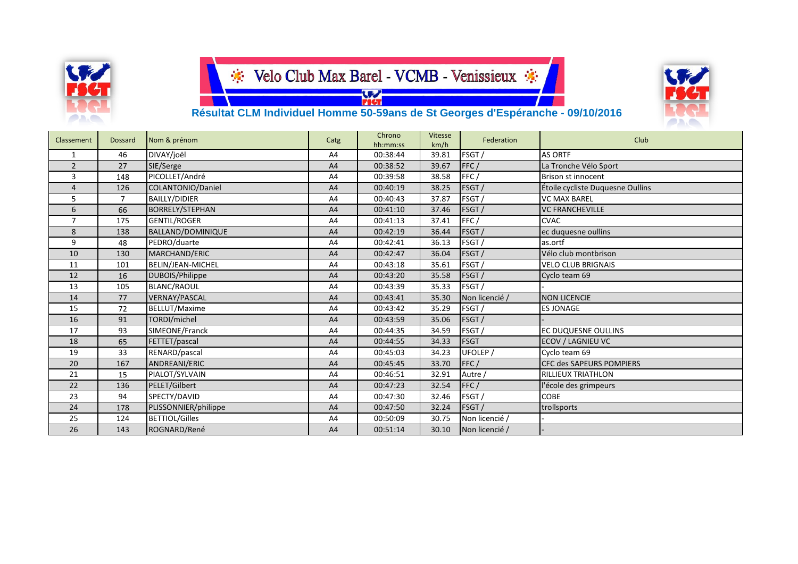

**W.** 



#### **Résultat CLM Individuel Homme 50-59ans de St Georges d'Espéranche - 09/10/2016**

| Classement     | <b>Dossard</b> | Nom & prénom             | Catg | Chrono<br>hh:mm:ss | Vitesse<br>km/h | Federation     | Club                             |
|----------------|----------------|--------------------------|------|--------------------|-----------------|----------------|----------------------------------|
| 1              | 46             | DIVAY/joël               | A4   | 00:38:44           | 39.81           | FSGT /         | <b>AS ORTF</b>                   |
| $\overline{2}$ | 27             | SIE/Serge                | A4   | 00:38:52           | 39.67           | FFC/           | La Tronche Vélo Sport            |
| 3              | 148            | PICOLLET/André           | A4   | 00:39:58           | 38.58           | FFC/           | Brison st innocent               |
| $\overline{4}$ | 126            | COLANTONIO/Daniel        | A4   | 00:40:19           | 38.25           | FSGT /         | Étoile cycliste Duquesne Oullins |
| 5              | $\overline{7}$ | <b>BAILLY/DIDIER</b>     | A4   | 00:40:43           | 37.87           | FSGT /         | <b>VC MAX BAREL</b>              |
| 6              | 66             | <b>BORRELY/STEPHAN</b>   | A4   | 00:41:10           | 37.46           | FSGT/          | <b>VC FRANCHEVILLE</b>           |
| $\overline{7}$ | 175            | <b>GENTIL/ROGER</b>      | A4   | 00:41:13           | 37.41           | FFC/           | <b>CVAC</b>                      |
| 8              | 138            | <b>BALLAND/DOMINIQUE</b> | A4   | 00:42:19           | 36.44           | <b>FSGT</b>    | ec duquesne oullins              |
| 9              | 48             | PEDRO/duarte             | A4   | 00:42:41           | 36.13           | FSGT           | as.ortf                          |
| 10             | 130            | MARCHAND/ERIC            | A4   | 00:42:47           | 36.04           | FSGT /         | Vélo club montbrison             |
| 11             | 101            | BELIN/JEAN-MICHEL        | A4   | 00:43:18           | 35.61           | FSGT /         | <b>VELO CLUB BRIGNAIS</b>        |
| 12             | 16             | DUBOIS/Philippe          | A4   | 00:43:20           | 35.58           | FSGT/          | Cyclo team 69                    |
| 13             | 105            | <b>BLANC/RAOUL</b>       | A4   | 00:43:39           | 35.33           | FSGT /         |                                  |
| 14             | 77             | <b>VERNAY/PASCAL</b>     | A4   | 00:43:41           | 35.30           | Non licencié / | <b>NON LICENCIE</b>              |
| 15             | 72             | <b>BELLUT/Maxime</b>     | A4   | 00:43:42           | 35.29           | FSGT/          | <b>ES JONAGE</b>                 |
| 16             | 91             | TORDI/michel             | A4   | 00:43:59           | 35.06           | FSGT/          |                                  |
| 17             | 93             | SIMEONE/Franck           | A4   | 00:44:35           | 34.59           | FSGT/          | <b>EC DUQUESNE OULLINS</b>       |
| 18             | 65             | FETTET/pascal            | A4   | 00:44:55           | 34.33           | FSGT           | <b>ECOV / LAGNIEU VC</b>         |
| 19             | 33             | RENARD/pascal            | A4   | 00:45:03           | 34.23           | UFOLEP /       | Cyclo team 69                    |
| 20             | 167            | ANDREANI/ERIC            | A4   | 00:45:45           | 33.70           | FFC/           | <b>CFC des SAPEURS POMPIERS</b>  |
| 21             | 15             | PIALOT/SYLVAIN           | A4   | 00:46:51           | 32.91           | Autre,         | <b>RILLIEUX TRIATHLON</b>        |
| 22             | 136            | PELET/Gilbert            | A4   | 00:47:23           | 32.54           | FFC/           | l'école des grimpeurs            |
| 23             | 94             | SPECTY/DAVID             | A4   | 00:47:30           | 32.46           | FSGT/          | <b>COBE</b>                      |
| 24             | 178            | PLISSONNIER/philippe     | A4   | 00:47:50           | 32.24           | <b>FSGT</b>    | trollsports                      |
| 25             | 124            | <b>BETTIOL/Gilles</b>    | A4   | 00:50:09           | 30.75           | Non licencié / |                                  |
| 26             | 143            | ROGNARD/René             | A4   | 00:51:14           | 30.10           | Non licencié / |                                  |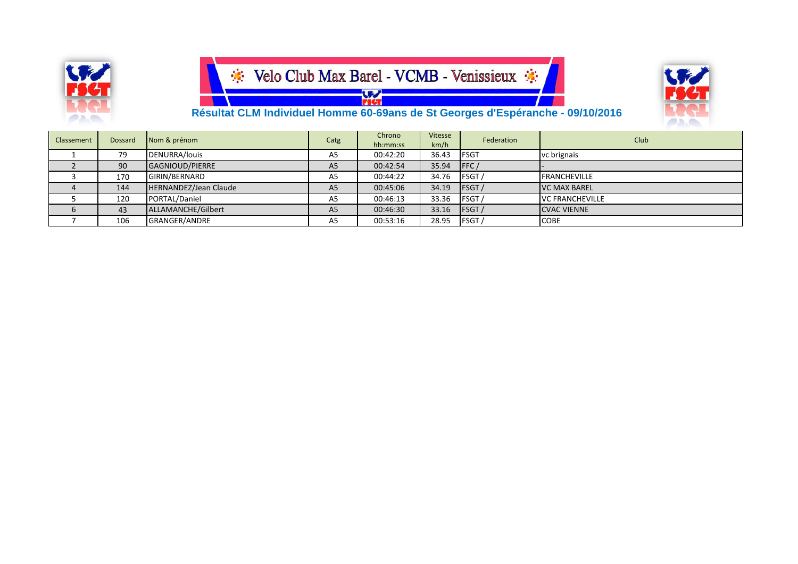

**SEA** 



#### **Résultat CLM Individuel Homme 60-69ans de St Georges d'Espéranche - 09/10/2016**

| Classement  | <b>Dossard</b> | Nom & prénom          | Catg           | Chrono<br>hh:mm:ss | Vitesse<br>km/h | Federation   | <b>Club</b>            |
|-------------|----------------|-----------------------|----------------|--------------------|-----------------|--------------|------------------------|
|             | 79             | DENURRA/louis         | A <sub>5</sub> | 00:42:20           | 36.43           | <b>FSGT</b>  | vc brignais            |
|             | 90             | GAGNIOUD/PIERRE       | A <sub>5</sub> | 00:42:54           | 35.94           | FFC/         |                        |
|             | 170            | GIRIN/BERNARD         | A5             | 00:44:22           | 34.76           | FSGT/        | <b>FRANCHEVILLE</b>    |
|             | 144            | HERNANDEZ/Jean Claude | A <sub>5</sub> | 00:45:06           | 34.19           | <b>FSGT</b>  | <b>VC MAX BAREL</b>    |
|             | 120            | PORTAL/Daniel         | A5             | 00:46:13           | 33.36           | FSGT/        | <b>VC FRANCHEVILLE</b> |
| $\mathbf b$ | 43             | ALLAMANCHE/Gilbert    | A <sub>5</sub> | 00:46:30           | 33.16           | <b>FSGT/</b> | <b>CVAC VIENNE</b>     |
|             | 106            | GRANGER/ANDRE         | A <sub>5</sub> | 00:53:16           | 28.95           | FSGT /       | <b>COBE</b>            |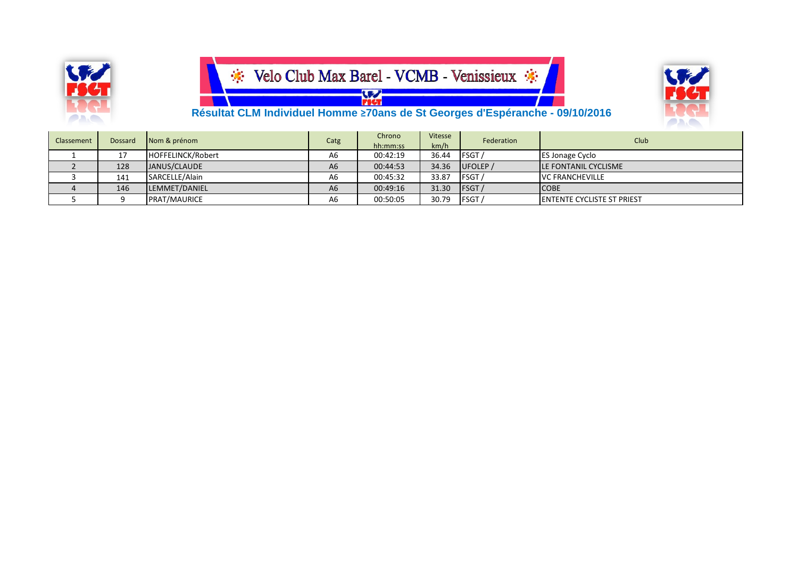



**W Résultat CLM Individuel Homme ≥70ans de St Georges d'Espéranche - 09/10/2016**

| Classement | <b>Dossard</b> | Nom & prénom        | Catg           | Chrono<br>hh:mm:ss | Vitesse<br>km/h | Federation  | Club                               |
|------------|----------------|---------------------|----------------|--------------------|-----------------|-------------|------------------------------------|
|            | 17             | HOFFELINCK/Robert   | A6             | 00:42:19           | 36.44           | FSGT /      | <b>ES Jonage Cyclo</b>             |
|            | 128            | JANUS/CLAUDE        | A <sub>6</sub> | 00:44:53           | 34.36           | UFOLEP /    | <b>ILE FONTANIL CYCLISME</b>       |
|            | 141            | SARCELLE/Alain      | A6             | 00:45:32           | 33.87           | FSGT/       | <b>VC FRANCHEVILLE</b>             |
|            | 146            | LEMMET/DANIEL       | A <sub>6</sub> | 00:49:16           | 31.30           | <b>FSGT</b> | <b>COBE</b>                        |
|            |                | <b>PRAT/MAURICE</b> | A6             | 00:50:05           | 30.79           | FSGT/       | <b>IENTENTE CYCLISTE ST PRIEST</b> |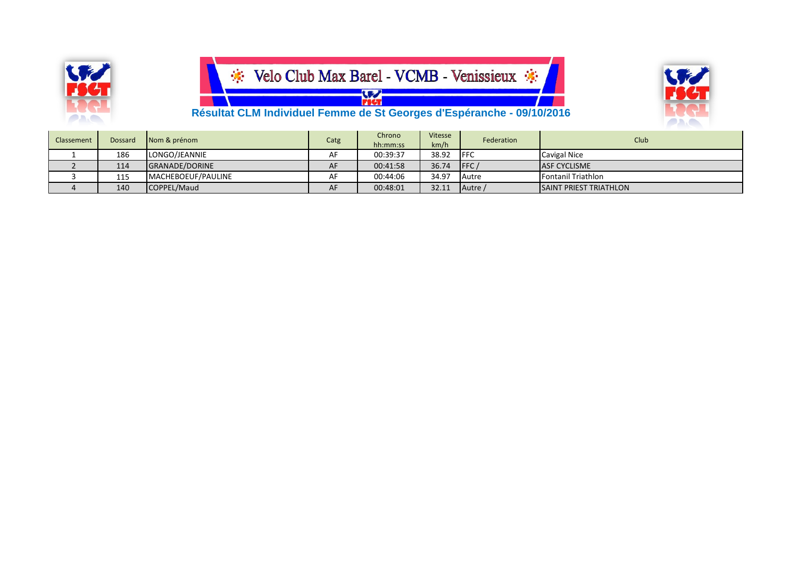



 **Résultat CLM Individuel Femme de St Georges d'Espéranche - 09/10/2016**

| <b>Classement</b> | Dossard | Nom & prénom          | Catg | Chrono<br>hh:mm:ss | <b>Vitesse</b><br>km/h | Federation   | Club                           |
|-------------------|---------|-----------------------|------|--------------------|------------------------|--------------|--------------------------------|
|                   | 186     | LONGO/JEANNIE         | AF   | 00:39:37           | 38.92                  | <b>IFFC</b>  | <b>Cavigal Nice</b>            |
|                   | 114     | <b>GRANADE/DORINE</b> | AF   | 00:41:58           | 36.74                  | <b>IFFC</b>  | <b>ASF CYCLISME</b>            |
|                   | 115     | MACHEBOEUF/PAULINE    | AF   | 00:44:06           | 34.97                  | <b>Autre</b> | Fontanil Triathlon             |
|                   | 140     | COPPEL/Maud           | AF   | 00:48:01           | 32.11                  | Autre /      | <b>ISAINT PRIEST TRIATHLON</b> |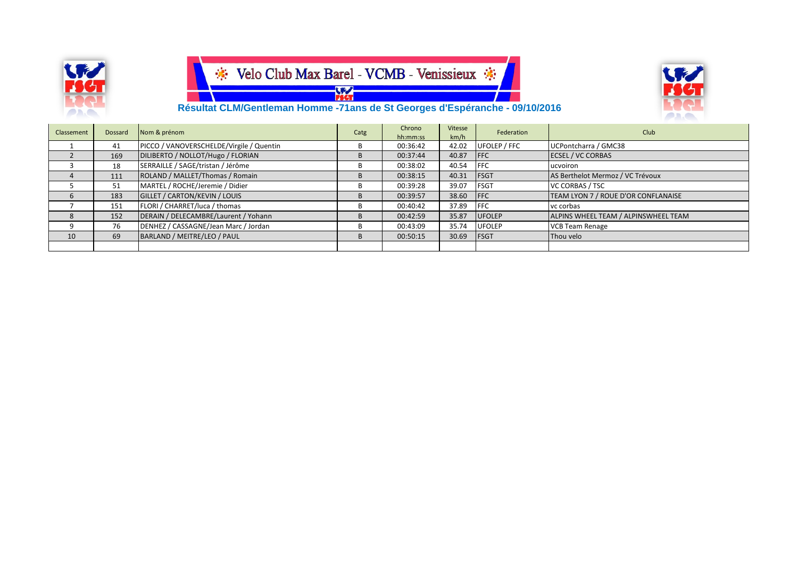



 **Résultat CLM/Gentleman Homme -71ans de St Georges d'Espéranche - 09/10/2016**

| Classement | Dossard | Nom & prénom                             | Catg | Chrono<br>hh:mm:ss | Vitesse<br>km/h | Federation    | Club                                 |
|------------|---------|------------------------------------------|------|--------------------|-----------------|---------------|--------------------------------------|
|            | 41      | PICCO / VANOVERSCHELDE/Virgile / Quentin | D    | 00:36:42           | 42.02           | UFOLEP / FFC  | UCPontcharra / GMC38                 |
|            | 169     | DILIBERTO / NOLLOT/Hugo / FLORIAN        |      | 00:37:44           | 40.87           | <b>IFFC</b>   | <b>ECSEL / VC CORBAS</b>             |
|            | 18      | SERRAILLE / SAGE/tristan / Jérôme        | в    | 00:38:02           | 40.54           | <b>IFFC</b>   | ucvoiron                             |
|            | 111     | ROLAND / MALLET/Thomas / Romain          |      | 00:38:15           | 40.31           | <b>IFSGT</b>  | AS Berthelot Mermoz / VC Trévoux     |
|            | 51      | MARTEL / ROCHE/Jeremie / Didier          | к    | 00:39:28           | 39.07           | <b>FSGT</b>   | <b>VC CORBAS / TSC</b>               |
|            | 183     | <b>GILLET / CARTON/KEVIN / LOUIS</b>     |      | 00:39:57           | 38.60           | <b>IFFC</b>   | TEAM LYON 7 / ROUE D'OR CONFLANAISE  |
|            | 151     | FLORI / CHARRET/luca / thomas            | B    | 00:40:42           | 37.89           | <b>IFFC</b>   | yc corbas                            |
|            | 152     | DERAIN / DELECAMBRE/Laurent / Yohann     |      | 00:42:59           | 35.87           | <b>UFOLEP</b> | ALPINS WHEEL TEAM / ALPINSWHEEL TEAM |
|            | 76      | DENHEZ / CASSAGNE/Jean Marc / Jordan     | в    | 00:43:09           | 35.74           | <b>UFOLEP</b> | <b>VCB Team Renage</b>               |
| 10         | 69      | BARLAND / MEITRE/LEO / PAUL              |      | 00:50:15           | 30.69           | <b>IFSGT</b>  | Thou velo                            |
|            |         |                                          |      |                    |                 |               |                                      |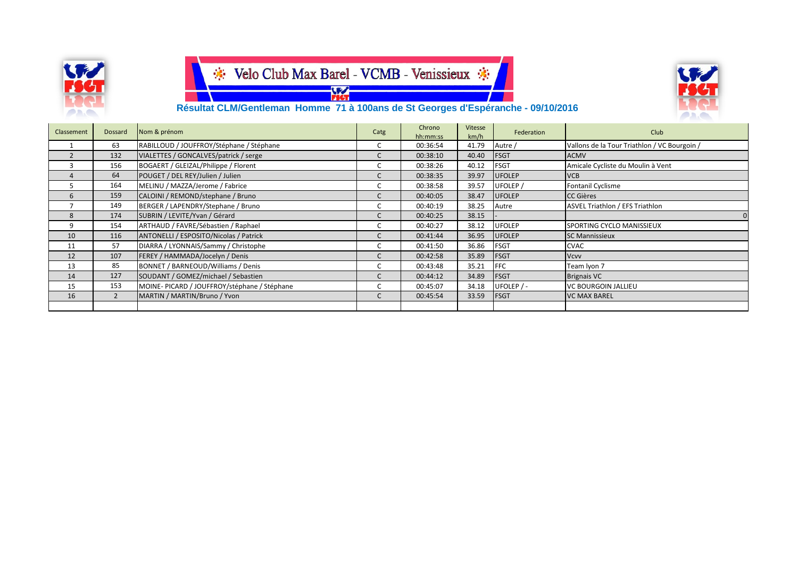

### Velo Club Max Barel - VCMB - Venissieux \* **Example 1997**<br>Technology



 **Résultat CLM/Gentleman Homme 71 à 100ans de St Georges d'Espéranche - 09/10/2016**

| Classement | Dossard        | Nom & prénom                                | Catg | Chrono<br>hh:mm:ss | Vitesse<br>km/h | Federation    | Club                                         |
|------------|----------------|---------------------------------------------|------|--------------------|-----------------|---------------|----------------------------------------------|
|            | 63             | RABILLOUD / JOUFFROY/Stéphane / Stéphane    |      | 00:36:54           | 41.79           | Autre /       | Vallons de la Tour Triathlon / VC Bourgoin / |
|            | 132            | VIALETTES / GONCALVES/patrick / serge       |      | 00:38:10           | 40.40           | <b>FSGT</b>   | <b>ACMV</b>                                  |
|            | 156            | BOGAERT / GLEIZAL/Philippe / Florent        |      | 00:38:26           | 40.12           | <b>FSGT</b>   | Amicale Cycliste du Moulin à Vent            |
|            | 64             | POUGET / DEL REY/Julien / Julien            |      | 00:38:35           | 39.97           | <b>UFOLEP</b> | <b>VCB</b>                                   |
|            | 164            | MELINU / MAZZA/Jerome / Fabrice             |      | 00:38:58           | 39.57           | UFOLEP /      | Fontanil Cyclisme                            |
|            | 159            | CALOINI / REMOND/stephane / Bruno           |      | 00:40:05           | 38.47           | <b>UFOLEP</b> | <b>CC Gières</b>                             |
|            | 149            | BERGER / LAPENDRY/Stephane / Bruno          |      | 00:40:19           | 38.25           | Autre         | <b>ASVEL Triathlon / EFS Triathlon</b>       |
| 8          | 174            | SUBRIN / LEVITE/Yvan / Gérard               |      | 00:40:25           | 38.15           |               |                                              |
| 9          | 154            | ARTHAUD / FAVRE/Sébastien / Raphael         |      | 00:40:27           | 38.12           | <b>UFOLEP</b> | SPORTING CYCLO MANISSIEUX                    |
| 10         | 116            | ANTONELLI / ESPOSITO/Nicolas / Patrick      |      | 00:41:44           | 36.95           | <b>UFOLEP</b> | <b>SC Mannissieux</b>                        |
| 11         | 57             | DIARRA / LYONNAIS/Sammy / Christophe        |      | 00:41:50           | 36.86           | <b>FSGT</b>   | <b>CVAC</b>                                  |
| 12         | 107            | FEREY / HAMMADA/Jocelyn / Denis             |      | 00:42:58           | 35.89           | <b>FSGT</b>   | <b>Vcvv</b>                                  |
| 13         | 85             | BONNET / BARNEOUD/Williams / Denis          |      | 00:43:48           | 35.21           | <b>IFFC</b>   | Team Iyon 7                                  |
| 14         | 127            | SOUDANT / GOMEZ/michael / Sebastien         |      | 00:44:12           | 34.89           | <b>FSGT</b>   | <b>Brignais VC</b>                           |
| 15         | 153            | MOINE-PICARD / JOUFFROY/stéphane / Stéphane |      | 00:45:07           | 34.18           | UFOLEP $/$ -  | <b>VC BOURGOIN JALLIEU</b>                   |
| 16         | $\overline{2}$ | MARTIN / MARTIN/Bruno / Yvon                |      | 00:45:54           | 33.59           | <b>FSGT</b>   | <b>VC MAX BAREL</b>                          |
|            |                |                                             |      |                    |                 |               |                                              |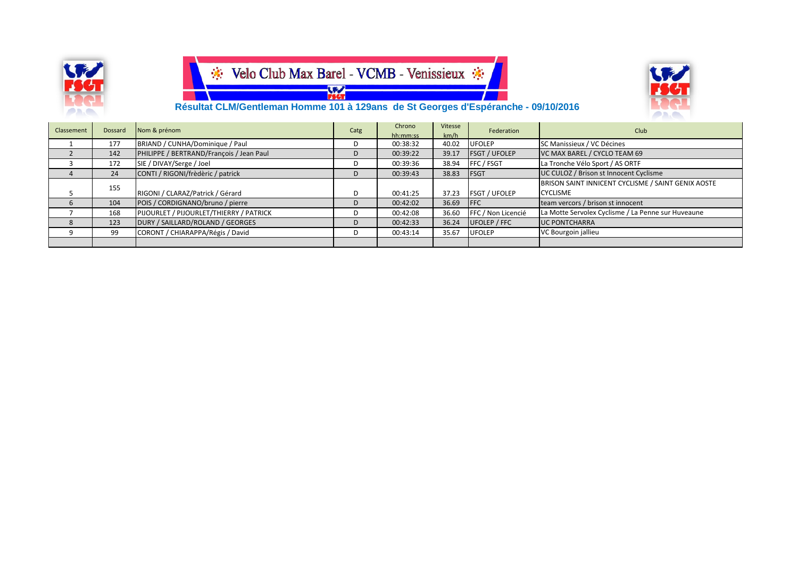





 **Résultat CLM/Gentleman Homme 101 à 129ans de St Georges d'Espéranche - 09/10/2016**

| Classement | Dossard | Nom & prénom                             | Catg | Chrono   | Vitesse | Federation           | Club                                               |
|------------|---------|------------------------------------------|------|----------|---------|----------------------|----------------------------------------------------|
|            |         |                                          |      | hh:mm:ss | km/h    |                      |                                                    |
|            | 177     | BRIAND / CUNHA/Dominique / Paul          |      | 00:38:32 | 40.02   | <b>UFOLEP</b>        | SC Manissieux / VC Décines                         |
|            | 142     | PHILIPPE / BERTRAND/François / Jean Paul |      | 00:39:22 | 39.17   | <b>FSGT / UFOLEP</b> | VC MAX BAREL / CYCLO TEAM 69                       |
|            | 172     | SIE / DIVAY/Serge / Joel                 |      | 00:39:36 | 38.94   | FFC / FSGT           | La Tronche Vélo Sport / AS ORTF                    |
|            | 24      | CONTI / RIGONI/frèdèric / patrick        |      | 00:39:43 | 38.83   | <b>FSGT</b>          | UC CULOZ / Brison st Innocent Cyclisme             |
|            | 155     |                                          |      |          |         |                      | BRISON SAINT INNICENT CYCLISME / SAINT GENIX AOSTE |
|            |         | RIGONI / CLARAZ/Patrick / Gérard         |      | 00:41:25 | 37.23   | <b>FSGT / UFOLEP</b> | <b>CYCLISME</b>                                    |
|            | 104     | POIS / CORDIGNANO/bruno / pierre         |      | 00:42:02 | 36.69   | <b>FFC</b>           | team vercors / brison st innocent                  |
|            | 168     | PIJOURLET / PIJOURLET/THIERRY / PATRICK  |      | 00:42:08 | 36.60   | FFC / Non Licencié   | La Motte Servolex Cyclisme / La Penne sur Huveaune |
|            | 123     | DURY / SAILLARD/ROLAND / GEORGES         |      | 00:42:33 | 36.24   | UFOLEP / FFC         | <b>UC PONTCHARRA</b>                               |
|            | 99      | CORONT / CHIARAPPA/Régis / David         |      | 00:43:14 | 35.67   | <b>UFOLEP</b>        | VC Bourgoin jallieu                                |
|            |         |                                          |      |          |         |                      |                                                    |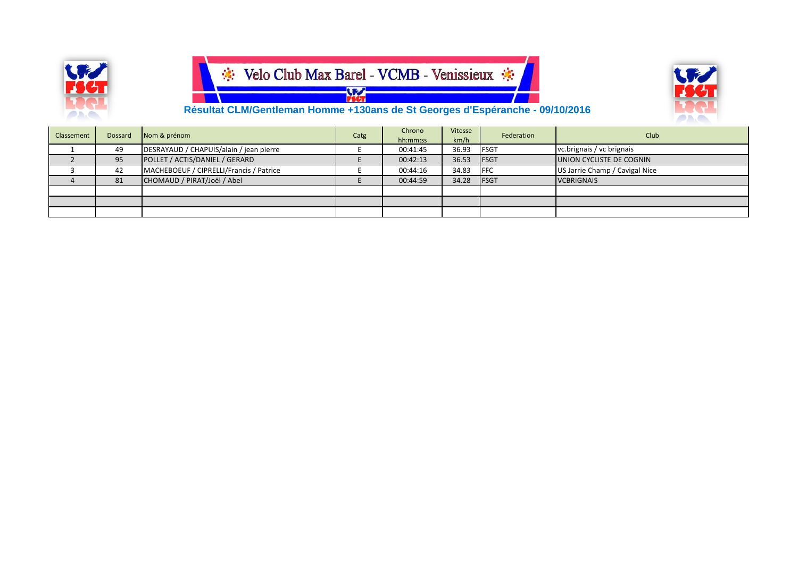

### Velo Club Max Barel - VCMB - Venissieux \*  $\frac{1}{100}$



 **Résultat CLM/Gentleman Homme +130ans de St Georges d'Espéranche - 09/10/2016**

| Classement | Dossard | Nom & prénom                            | Catg | Chrono   | Vitesse | Federation   | Club                           |
|------------|---------|-----------------------------------------|------|----------|---------|--------------|--------------------------------|
|            |         |                                         |      | hh:mm:ss | km/h    |              |                                |
|            | 49      | DESRAYAUD / CHAPUIS/alain / jean pierre |      | 00:41:45 | 36.93   | <b>FSGT</b>  | vc.brignais / vc brignais      |
|            | 95      | POLLET / ACTIS/DANIEL / GERARD          |      | 00:42:13 | 36.53   | <b>FSGT</b>  | UNION CYCLISTE DE COGNIN       |
|            | 42      | MACHEBOEUF / CIPRELLI/Francis / Patrice |      | 00:44:16 | 34.83   | <b>IFFC</b>  | US Jarrie Champ / Cavigal Nice |
|            | 81      | CHOMAUD / PIRAT/Joël / Abel             |      | 00:44:59 | 34.28   | <b>IFSGT</b> | <b>VCBRIGNAIS</b>              |
|            |         |                                         |      |          |         |              |                                |
|            |         |                                         |      |          |         |              |                                |
|            |         |                                         |      |          |         |              |                                |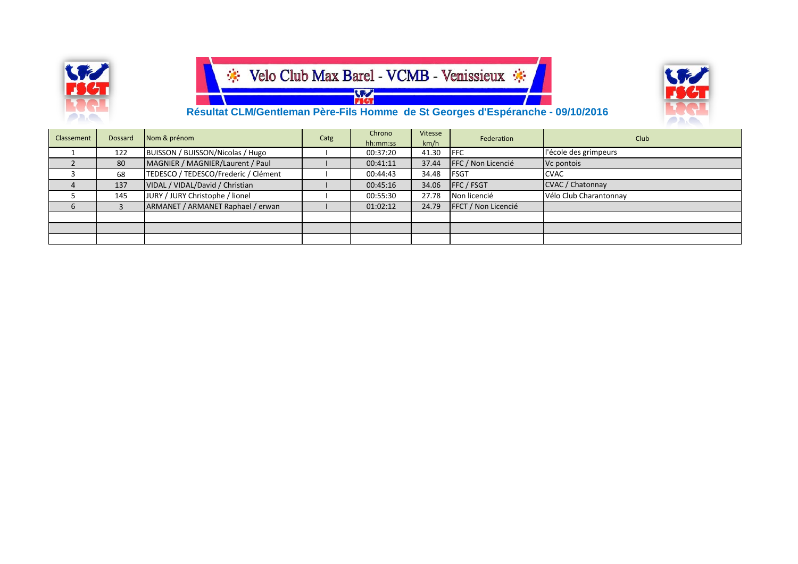





 **Résultat CLM/Gentleman Père-Fils Homme de St Georges d'Espéranche - 09/10/2016**

| Classement | Dossard | Nom & prénom                         | Catg | Chrono   | Vitesse | Federation          | <b>Club</b>            |
|------------|---------|--------------------------------------|------|----------|---------|---------------------|------------------------|
|            |         |                                      |      | hh:mm:ss | km/h    |                     |                        |
|            | 122     | BUISSON / BUISSON/Nicolas / Hugo     |      | 00:37:20 | 41.30   | <b>IFFC</b>         | l'école des grimpeurs  |
|            | 80      | MAGNIER / MAGNIER/Laurent / Paul     |      | 00:41:11 | 37.44   | FFC / Non Licencié  | Vc pontois             |
|            | 68      | TEDESCO / TEDESCO/Frederic / Clément |      | 00:44:43 | 34.48   | <b>FSGT</b>         | <b>CVAC</b>            |
| 4          | 137     | VIDAL / VIDAL/David / Christian      |      | 00:45:16 | 34.06   | <b>FFC / FSGT</b>   | CVAC / Chatonnay       |
|            | 145     | JURY / JURY Christophe / lionel      |      | 00:55:30 | 27.78   | Non licencié        | Vélo Club Charantonnay |
| 6          |         | ARMANET / ARMANET Raphael / erwan    |      | 01:02:12 | 24.79   | FFCT / Non Licencié |                        |
|            |         |                                      |      |          |         |                     |                        |
|            |         |                                      |      |          |         |                     |                        |
|            |         |                                      |      |          |         |                     |                        |